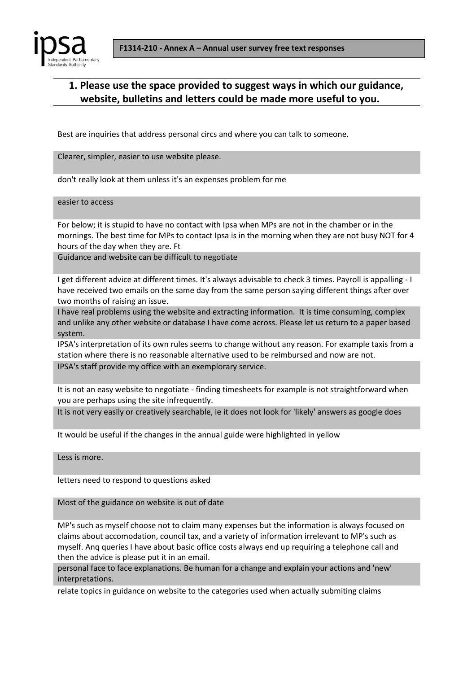



## **1. Please use the space provided to suggest ways in which our guidance, website, bulletins and letters could be made more useful to you.**

Best are inquiries that address personal circs and where you can talk to someone.

Clearer, simpler, easier to use website please.

don't really look at them unless it's an expenses problem for me

easier to access

For below; it is stupid to have no contact with Ipsa when MPs are not in the chamber or in the mornings. The best time for MPs to contact Ipsa is in the morning when they are not busy NOT for 4 hours of the day when they are. Ft

Guidance and website can be difficult to negotiate

I get different advice at different times. It's always advisable to check 3 times. Payroll is appalling - I have received two emails on the same day from the same person saying different things after over two months of raising an issue.

I have real problems using the website and extracting information. It is time consuming, complex and unlike any other website or database I have come across. Please let us return to a paper based system.

IPSA's interpretation of its own rules seems to change without any reason. For example taxis from a station where there is no reasonable alternative used to be reimbursed and now are not. IPSA's staff provide my office with an exemplorary service.

It is not an easy website to negotiate - finding timesheets for example is not straightforward when you are perhaps using the site infrequently.

It is not very easily or creatively searchable, ie it does not look for 'likely' answers as google does

It would be useful if the changes in the annual guide were highlighted in yellow

Less is more.

letters need to respond to questions asked

Most of the guidance on website is out of date

MP's such as myself choose not to claim many expenses but the information is always focused on claims about accomodation, council tax, and a variety of information irrelevant to MP's such as myself. Anq queries I have about basic office costs always end up requiring a telephone call and then the advice is please put it in an email.

personal face to face explanations. Be human for a change and explain your actions and 'new' interpretations.

relate topics in guidance on website to the categories used when actually submiting claims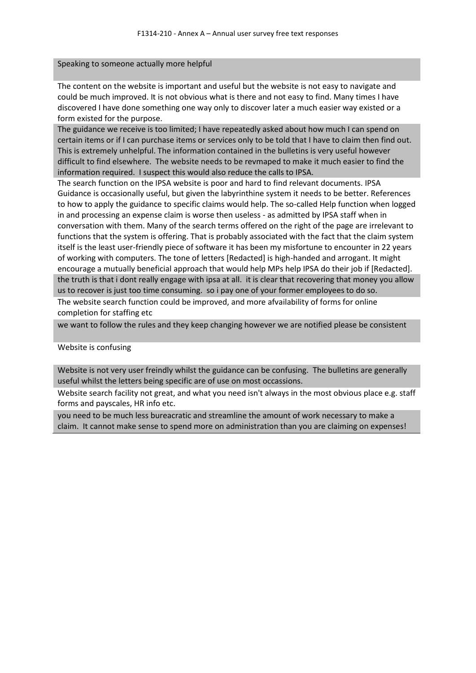Speaking to someone actually more helpful

The content on the website is important and useful but the website is not easy to navigate and could be much improved. It is not obvious what is there and not easy to find. Many times I have discovered I have done something one way only to discover later a much easier way existed or a form existed for the purpose.

The guidance we receive is too limited; I have repeatedly asked about how much I can spend on certain items or if I can purchase items or services only to be told that I have to claim then find out. This is extremely unhelpful. The information contained in the bulletins is very useful however difficult to find elsewhere. The website needs to be revmaped to make it much easier to find the information required. I suspect this would also reduce the calls to IPSA.

The search function on the IPSA website is poor and hard to find relevant documents. IPSA Guidance is occasionally useful, but given the labyrinthine system it needs to be better. References to how to apply the guidance to specific claims would help. The so-called Help function when logged in and processing an expense claim is worse then useless - as admitted by IPSA staff when in conversation with them. Many of the search terms offered on the right of the page are irrelevant to functions that the system is offering. That is probably associated with the fact that the claim system itself is the least user-friendly piece of software it has been my misfortune to encounter in 22 years of working with computers. The tone of letters [Redacted] is high-handed and arrogant. It might encourage a mutually beneficial approach that would help MPs help IPSA do their job if [Redacted]. the truth is that i dont really engage with ipsa at all. it is clear that recovering that money you allow us to recover is just too time consuming. so i pay one of your former employees to do so.

The website search function could be improved, and more afvailability of forms for online completion for staffing etc

we want to follow the rules and they keep changing however we are notified please be consistent

### Website is confusing

Website is not very user freindly whilst the guidance can be confusing. The bulletins are generally useful whilst the letters being specific are of use on most occassions.

Website search facility not great, and what you need isn't always in the most obvious place e.g. staff forms and payscales, HR info etc.

you need to be much less bureacratic and streamline the amount of work necessary to make a claim. It cannot make sense to spend more on administration than you are claiming on expenses!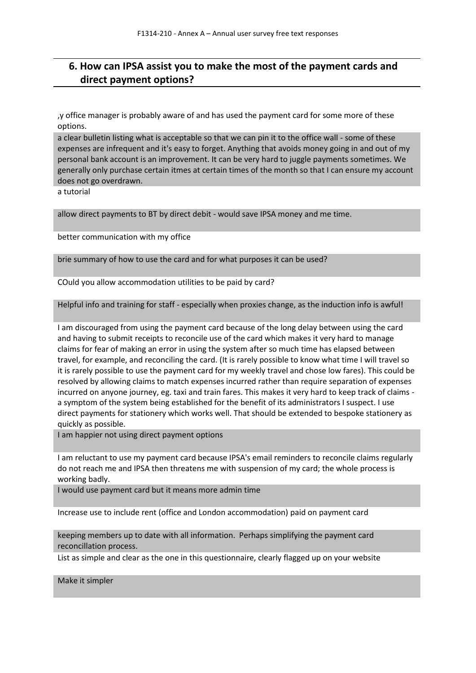## **6. How can IPSA assist you to make the most of the payment cards and direct payment options?**

,y office manager is probably aware of and has used the payment card for some more of these options.

a clear bulletin listing what is acceptable so that we can pin it to the office wall - some of these expenses are infrequent and it's easy to forget. Anything that avoids money going in and out of my personal bank account is an improvement. It can be very hard to juggle payments sometimes. We generally only purchase certain itmes at certain times of the month so that I can ensure my account does not go overdrawn.

a tutorial

allow direct payments to BT by direct debit - would save IPSA money and me time.

better communication with my office

brie summary of how to use the card and for what purposes it can be used?

COuld you allow accommodation utilities to be paid by card?

Helpful info and training for staff - especially when proxies change, as the induction info is awful!

I am discouraged from using the payment card because of the long delay between using the card and having to submit receipts to reconcile use of the card which makes it very hard to manage claims for fear of making an error in using the system after so much time has elapsed between travel, for example, and reconciling the card. (It is rarely possible to know what time I will travel so it is rarely possible to use the payment card for my weekly travel and chose low fares). This could be resolved by allowing claims to match expenses incurred rather than require separation of expenses incurred on anyone journey, eg. taxi and train fares. This makes it very hard to keep track of claims a symptom of the system being established for the benefit of its administrators I suspect. I use direct payments for stationery which works well. That should be extended to bespoke stationery as quickly as possible.

I am happier not using direct payment options

I am reluctant to use my payment card because IPSA's email reminders to reconcile claims regularly do not reach me and IPSA then threatens me with suspension of my card; the whole process is working badly.

I would use payment card but it means more admin time

Increase use to include rent (office and London accommodation) paid on payment card

keeping members up to date with all information. Perhaps simplifying the payment card reconcillation process.

List as simple and clear as the one in this questionnaire, clearly flagged up on your website

Make it simpler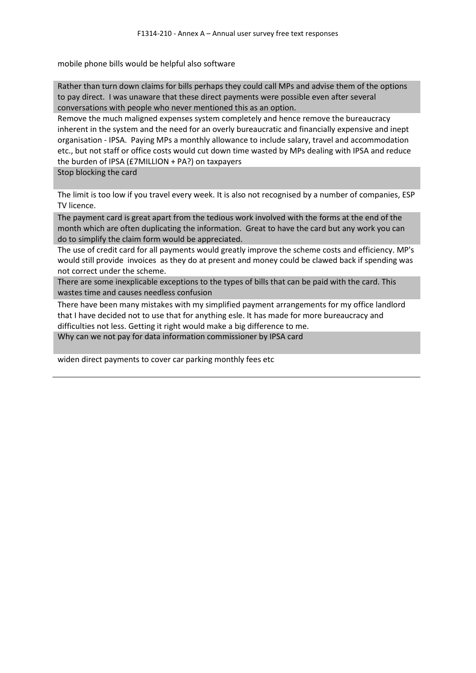mobile phone bills would be helpful also software

Rather than turn down claims for bills perhaps they could call MPs and advise them of the options to pay direct. I was unaware that these direct payments were possible even after several conversations with people who never mentioned this as an option.

Remove the much maligned expenses system completely and hence remove the bureaucracy inherent in the system and the need for an overly bureaucratic and financially expensive and inept organisation - IPSA. Paying MPs a monthly allowance to include salary, travel and accommodation etc., but not staff or office costs would cut down time wasted by MPs dealing with IPSA and reduce the burden of IPSA (£7MILLION + PA?) on taxpayers

Stop blocking the card

The limit is too low if you travel every week. It is also not recognised by a number of companies, ESP TV licence.

The payment card is great apart from the tedious work involved with the forms at the end of the month which are often duplicating the information. Great to have the card but any work you can do to simplify the claim form would be appreciated.

The use of credit card for all payments would greatly improve the scheme costs and efficiency. MP's would still provide invoices as they do at present and money could be clawed back if spending was not correct under the scheme.

There are some inexplicable exceptions to the types of bills that can be paid with the card. This wastes time and causes needless confusion

There have been many mistakes with my simplified payment arrangements for my office landlord that I have decided not to use that for anything esle. It has made for more bureaucracy and difficulties not less. Getting it right would make a big difference to me.

Why can we not pay for data information commissioner by IPSA card

widen direct payments to cover car parking monthly fees etc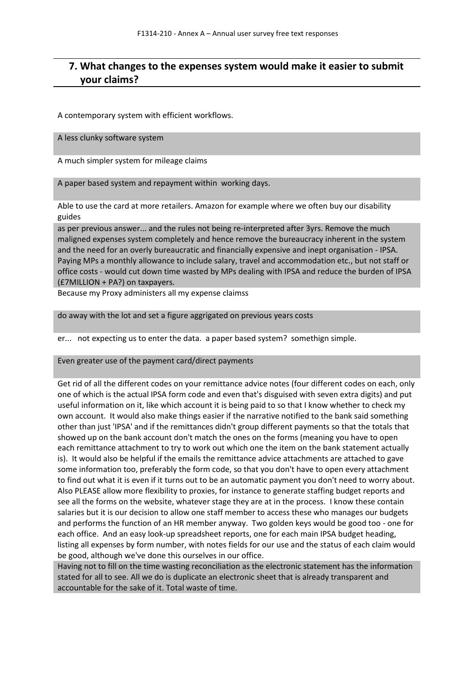## **7. What changes to the expenses system would make it easier to submit your claims?**

A contemporary system with efficient workflows.

A less clunky software system

A much simpler system for mileage claims

A paper based system and repayment within working days.

Able to use the card at more retailers. Amazon for example where we often buy our disability guides

as per previous answer... and the rules not being re-interpreted after 3yrs. Remove the much maligned expenses system completely and hence remove the bureaucracy inherent in the system and the need for an overly bureaucratic and financially expensive and inept organisation - IPSA. Paying MPs a monthly allowance to include salary, travel and accommodation etc., but not staff or office costs - would cut down time wasted by MPs dealing with IPSA and reduce the burden of IPSA (£7MILLION + PA?) on taxpayers.

Because my Proxy administers all my expense claimss

do away with the lot and set a figure aggrigated on previous years costs

er... not expecting us to enter the data. a paper based system? somethign simple.

Even greater use of the payment card/direct payments

Get rid of all the different codes on your remittance advice notes (four different codes on each, only one of which is the actual IPSA form code and even that's disguised with seven extra digits) and put useful information on it, like which account it is being paid to so that I know whether to check my own account. It would also make things easier if the narrative notified to the bank said something other than just 'IPSA' and if the remittances didn't group different payments so that the totals that showed up on the bank account don't match the ones on the forms (meaning you have to open each remittance attachment to try to work out which one the item on the bank statement actually is). It would also be helpful if the emails the remittance advice attachments are attached to gave some information too, preferably the form code, so that you don't have to open every attachment to find out what it is even if it turns out to be an automatic payment you don't need to worry about. Also PLEASE allow more flexibility to proxies, for instance to generate staffing budget reports and see all the forms on the website, whatever stage they are at in the process. I know these contain salaries but it is our decision to allow one staff member to access these who manages our budgets and performs the function of an HR member anyway. Two golden keys would be good too - one for each office. And an easy look-up spreadsheet reports, one for each main IPSA budget heading, listing all expenses by form number, with notes fields for our use and the status of each claim would be good, although we've done this ourselves in our office.

Having not to fill on the time wasting reconciliation as the electronic statement has the information stated for all to see. All we do is duplicate an electronic sheet that is already transparent and accountable for the sake of it. Total waste of time.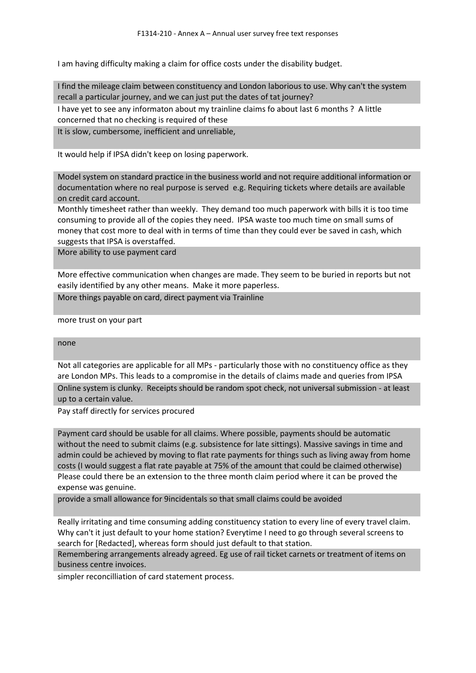I am having difficulty making a claim for office costs under the disability budget.

I find the mileage claim between constituency and London laborious to use. Why can't the system recall a particular journey, and we can just put the dates of tat journey?

I have yet to see any informaton about my trainline claims fo about last 6 months ? A little concerned that no checking is required of these

It is slow, cumbersome, inefficient and unreliable,

It would help if IPSA didn't keep on losing paperwork.

Model system on standard practice in the business world and not require additional information or documentation where no real purpose is served e.g. Requiring tickets where details are available on credit card account.

Monthly timesheet rather than weekly. They demand too much paperwork with bills it is too time consuming to provide all of the copies they need. IPSA waste too much time on small sums of money that cost more to deal with in terms of time than they could ever be saved in cash, which suggests that IPSA is overstaffed.

More ability to use payment card

More effective communication when changes are made. They seem to be buried in reports but not easily identified by any other means. Make it more paperless.

More things payable on card, direct payment via Trainline

more trust on your part

### none

Not all categories are applicable for all MPs - particularly those with no constituency office as they are London MPs. This leads to a compromise in the details of claims made and queries from IPSA Online system is clunky. Receipts should be random spot check, not universal submission - at least up to a certain value.

Pay staff directly for services procured

Payment card should be usable for all claims. Where possible, payments should be automatic without the need to submit claims (e.g. subsistence for late sittings). Massive savings in time and admin could be achieved by moving to flat rate payments for things such as living away from home costs (I would suggest a flat rate payable at 75% of the amount that could be claimed otherwise) Please could there be an extension to the three month claim period where it can be proved the expense was genuine.

provide a small allowance for 9incidentals so that small claims could be avoided

Really irritating and time consuming adding constituency station to every line of every travel claim. Why can't it just default to your home station? Everytime I need to go through several screens to search for [Redacted], whereas form should just default to that station.

Remembering arrangements already agreed. Eg use of rail ticket carnets or treatment of items on business centre invoices.

simpler reconcilliation of card statement process.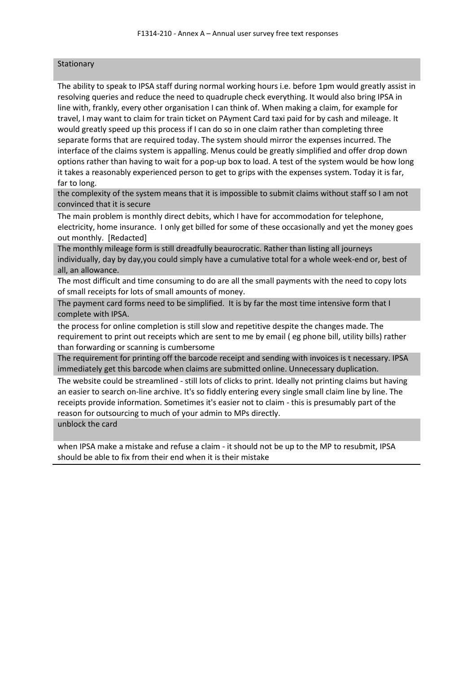### **Stationary**

The ability to speak to IPSA staff during normal working hours i.e. before 1pm would greatly assist in resolving queries and reduce the need to quadruple check everything. It would also bring IPSA in line with, frankly, every other organisation I can think of. When making a claim, for example for travel, I may want to claim for train ticket on PAyment Card taxi paid for by cash and mileage. It would greatly speed up this process if I can do so in one claim rather than completing three separate forms that are required today. The system should mirror the expenses incurred. The interface of the claims system is appalling. Menus could be greatly simplified and offer drop down options rather than having to wait for a pop-up box to load. A test of the system would be how long it takes a reasonably experienced person to get to grips with the expenses system. Today it is far, far to long.

the complexity of the system means that it is impossible to submit claims without staff so I am not convinced that it is secure

The main problem is monthly direct debits, which I have for accommodation for telephone, electricity, home insurance. I only get billed for some of these occasionally and yet the money goes out monthly. [Redacted]

The monthly mileage form is still dreadfully beaurocratic. Rather than listing all journeys individually, day by day,you could simply have a cumulative total for a whole week-end or, best of all, an allowance.

The most difficult and time consuming to do are all the small payments with the need to copy lots of small receipts for lots of small amounts of money.

The payment card forms need to be simplified. It is by far the most time intensive form that I complete with IPSA.

the process for online completion is still slow and repetitive despite the changes made. The requirement to print out receipts which are sent to me by email ( eg phone bill, utility bills) rather than forwarding or scanning is cumbersome

The requirement for printing off the barcode receipt and sending with invoices is t necessary. IPSA immediately get this barcode when claims are submitted online. Unnecessary duplication.

The website could be streamlined - still lots of clicks to print. Ideally not printing claims but having an easier to search on-line archive. It's so fiddly entering every single small claim line by line. The receipts provide information. Sometimes it's easier not to claim - this is presumably part of the reason for outsourcing to much of your admin to MPs directly.

unblock the card

when IPSA make a mistake and refuse a claim - it should not be up to the MP to resubmit, IPSA should be able to fix from their end when it is their mistake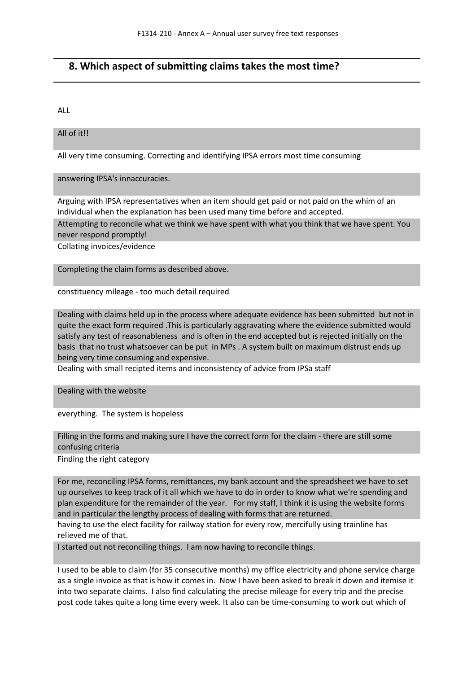### **8. Which aspect of submitting claims takes the most time?**

ALL

### All of it!!

All very time consuming. Correcting and identifying IPSA errors most time consuming

answering IPSA's innaccuracies.

Arguing with IPSA representatives when an item should get paid or not paid on the whim of an individual when the explanation has been used many time before and accepted.

Attempting to reconcile what we think we have spent with what you think that we have spent. You never respond promptly!

Collating invoices/evidence

Completing the claim forms as described above.

constituency mileage - too much detail required

Dealing with claims held up in the process where adequate evidence has been submitted but not in quite the exact form required .This is particularly aggravating where the evidence submitted would satisfy any test of reasonableness and is often in the end accepted but is rejected initially on the basis that no trust whatsoever can be put in MPs . A system built on maximum distrust ends up being very time consuming and expensive.

Dealing with small recipted items and inconsistency of advice from IPSa staff

Dealing with the website

everything. The system is hopeless

Filling in the forms and making sure I have the correct form for the claim - there are still some confusing criteria

Finding the right category

For me, reconciling IPSA forms, remittances, my bank account and the spreadsheet we have to set up ourselves to keep track of it all which we have to do in order to know what we're spending and plan expenditure for the remainder of the year. For my staff, I think it is using the website forms and in particular the lengthy process of dealing with forms that are returned.

having to use the elect facility for railway station for every row, mercifully using trainline has relieved me of that.

I started out not reconciling things. I am now having to reconcile things.

I used to be able to claim (for 35 consecutive months) my office electricity and phone service charge as a single invoice as that is how it comes in. Now I have been asked to break it down and itemise it into two separate claims. I also find calculating the precise mileage for every trip and the precise post code takes quite a long time every week. It also can be time-consuming to work out which of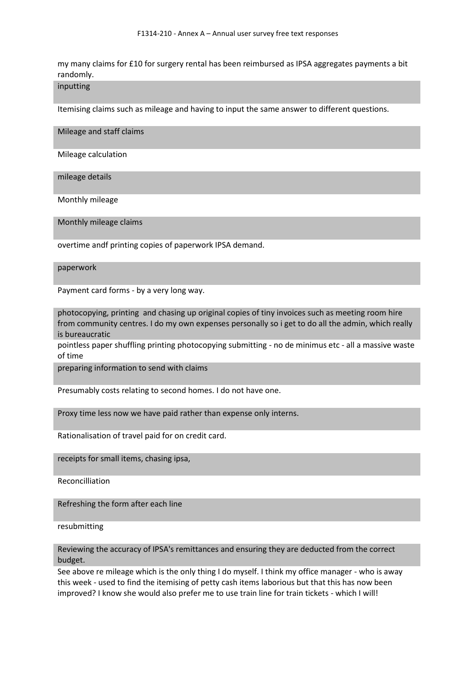my many claims for £10 for surgery rental has been reimbursed as IPSA aggregates payments a bit randomly.

### inputting

Itemising claims such as mileage and having to input the same answer to different questions.

Mileage and staff claims

Mileage calculation

mileage details

Monthly mileage

Monthly mileage claims

overtime andf printing copies of paperwork IPSA demand.

### paperwork

Payment card forms - by a very long way.

photocopying, printing and chasing up original copies of tiny invoices such as meeting room hire from community centres. I do my own expenses personally so i get to do all the admin, which really is bureaucratic

pointless paper shuffling printing photocopying submitting - no de minimus etc - all a massive waste of time

preparing information to send with claims

Presumably costs relating to second homes. I do not have one.

Proxy time less now we have paid rather than expense only interns.

Rationalisation of travel paid for on credit card.

receipts for small items, chasing ipsa,

Reconcilliation

Refreshing the form after each line

resubmitting

### Reviewing the accuracy of IPSA's remittances and ensuring they are deducted from the correct budget.

See above re mileage which is the only thing I do myself. I think my office manager - who is away this week - used to find the itemising of petty cash items laborious but that this has now been improved? I know she would also prefer me to use train line for train tickets - which I will!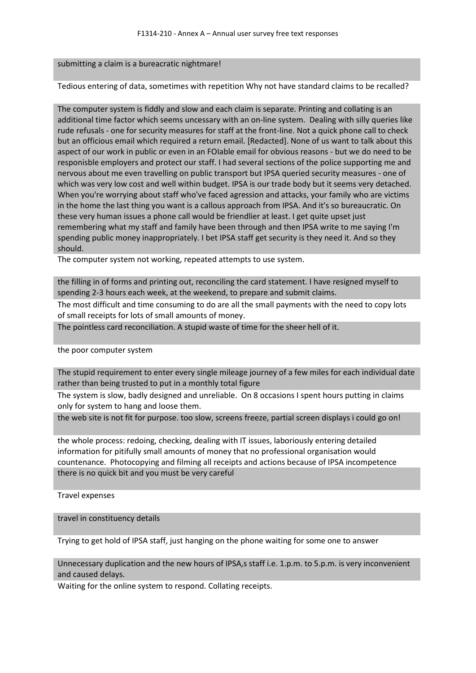#### submitting a claim is a bureacratic nightmare!

Tedious entering of data, sometimes with repetition Why not have standard claims to be recalled?

The computer system is fiddly and slow and each claim is separate. Printing and collating is an additional time factor which seems uncessary with an on-line system. Dealing with silly queries like rude refusals - one for security measures for staff at the front-line. Not a quick phone call to check but an officious email which required a return email. [Redacted]. None of us want to talk about this aspect of our work in public or even in an FOIable email for obvious reasons - but we do need to be responisble employers and protect our staff. I had several sections of the police supporting me and nervous about me even travelling on public transport but IPSA queried security measures - one of which was very low cost and well within budget. IPSA is our trade body but it seems very detached. When you're worrying about staff who've faced agression and attacks, your family who are victims in the home the last thing you want is a callous approach from IPSA. And it's so bureaucratic. On these very human issues a phone call would be friendlier at least. I get quite upset just remembering what my staff and family have been through and then IPSA write to me saying I'm spending public money inappropriately. I bet IPSA staff get security is they need it. And so they should.

The computer system not working, repeated attempts to use system.

the filling in of forms and printing out, reconciling the card statement. I have resigned myself to spending 2-3 hours each week, at the weekend, to prepare and submit claims.

The most difficult and time consuming to do are all the small payments with the need to copy lots of small receipts for lots of small amounts of money.

The pointless card reconciliation. A stupid waste of time for the sheer hell of it.

the poor computer system

The stupid requirement to enter every single mileage journey of a few miles for each individual date rather than being trusted to put in a monthly total figure

The system is slow, badly designed and unreliable. On 8 occasions I spent hours putting in claims only for system to hang and loose them.

the web site is not fit for purpose. too slow, screens freeze, partial screen displays i could go on!

the whole process: redoing, checking, dealing with IT issues, laboriously entering detailed information for pitifully small amounts of money that no professional organisation would countenance. Photocopying and filming all receipts and actions because of IPSA incompetence there is no quick bit and you must be very careful

Travel expenses

travel in constituency details

Trying to get hold of IPSA staff, just hanging on the phone waiting for some one to answer

Unnecessary duplication and the new hours of IPSA,s staff i.e. 1.p.m. to 5.p.m. is very inconvenient and caused delays.

Waiting for the online system to respond. Collating receipts.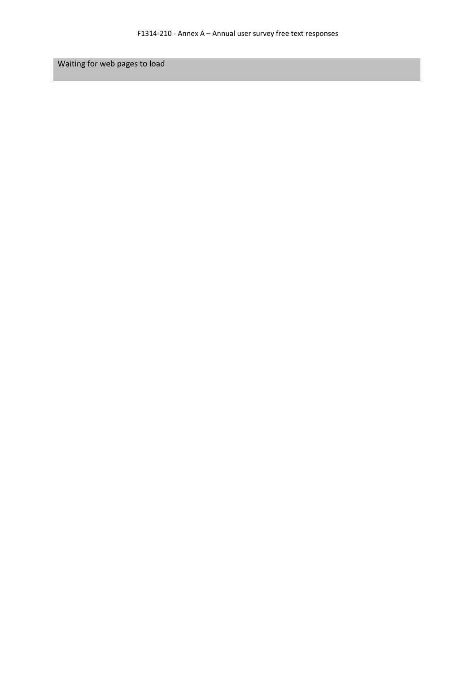Waiting for web pages to load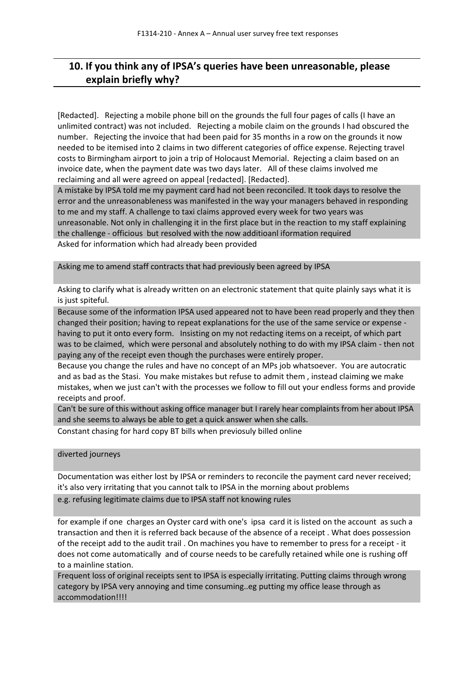# **10. If you think any of IPSA's queries have been unreasonable, please explain briefly why?**

[Redacted]. Rejecting a mobile phone bill on the grounds the full four pages of calls (I have an unlimited contract) was not included. Rejecting a mobile claim on the grounds I had obscured the number. Rejecting the invoice that had been paid for 35 months in a row on the grounds it now needed to be itemised into 2 claims in two different categories of office expense. Rejecting travel costs to Birmingham airport to join a trip of Holocaust Memorial. Rejecting a claim based on an invoice date, when the payment date was two days later. All of these claims involved me reclaiming and all were agreed on appeal [redacted]. [Redacted].

A mistake by IPSA told me my payment card had not been reconciled. It took days to resolve the error and the unreasonableness was manifested in the way your managers behaved in responding to me and my staff. A challenge to taxi claims approved every week for two years was unreasonable. Not only in challenging it in the first place but in the reaction to my staff explaining the challenge - officious but resolved with the now additioanl iformation required Asked for information which had already been provided

Asking me to amend staff contracts that had previously been agreed by IPSA

Asking to clarify what is already written on an electronic statement that quite plainly says what it is is just spiteful.

Because some of the information IPSA used appeared not to have been read properly and they then changed their position; having to repeat explanations for the use of the same service or expense having to put it onto every form. Insisting on my not redacting items on a receipt, of which part was to be claimed, which were personal and absolutely nothing to do with my IPSA claim - then not paying any of the receipt even though the purchases were entirely proper.

Because you change the rules and have no concept of an MPs job whatsoever. You are autocratic and as bad as the Stasi. You make mistakes but refuse to admit them , instead claiming we make mistakes, when we just can't with the processes we follow to fill out your endless forms and provide receipts and proof.

Can't be sure of this without asking office manager but I rarely hear complaints from her about IPSA and she seems to always be able to get a quick answer when she calls.

Constant chasing for hard copy BT bills when previosuly billed online

diverted journeys

Documentation was either lost by IPSA or reminders to reconcile the payment card never received; it's also very irritating that you cannot talk to IPSA in the morning about problems e.g. refusing legitimate claims due to IPSA staff not knowing rules

for example if one charges an Oyster card with one's ipsa card it is listed on the account as such a transaction and then it is referred back because of the absence of a receipt . What does possession of the receipt add to the audit trail . On machines you have to remember to press for a receipt - it does not come automatically and of course needs to be carefully retained while one is rushing off to a mainline station.

Frequent loss of original receipts sent to IPSA is especially irritating. Putting claims through wrong category by IPSA very annoying and time consuming..eg putting my office lease through as accommodation!!!!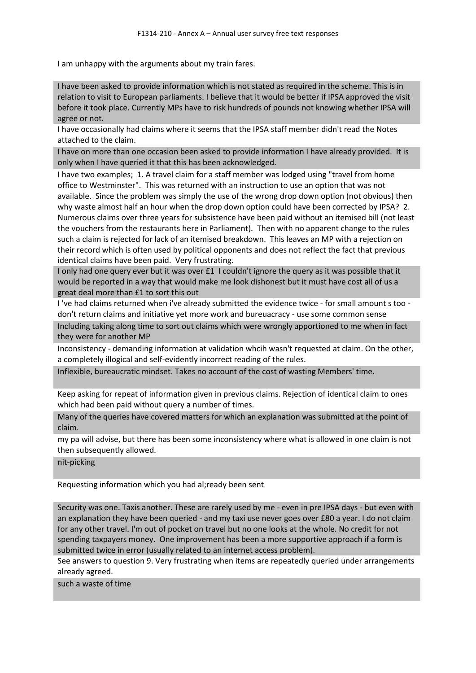I am unhappy with the arguments about my train fares.

I have been asked to provide information which is not stated as required in the scheme. This is in relation to visit to European parliaments. I believe that it would be better if IPSA approved the visit before it took place. Currently MPs have to risk hundreds of pounds not knowing whether IPSA will agree or not.

I have occasionally had claims where it seems that the IPSA staff member didn't read the Notes attached to the claim.

I have on more than one occasion been asked to provide information I have already provided. It is only when I have queried it that this has been acknowledged.

I have two examples; 1. A travel claim for a staff member was lodged using "travel from home office to Westminster". This was returned with an instruction to use an option that was not available. Since the problem was simply the use of the wrong drop down option (not obvious) then why waste almost half an hour when the drop down option could have been corrected by IPSA? 2. Numerous claims over three years for subsistence have been paid without an itemised bill (not least the vouchers from the restaurants here in Parliament). Then with no apparent change to the rules such a claim is rejected for lack of an itemised breakdown. This leaves an MP with a rejection on their record which is often used by political opponents and does not reflect the fact that previous identical claims have been paid. Very frustrating.

I only had one query ever but it was over £1 I couldn't ignore the query as it was possible that it would be reported in a way that would make me look dishonest but it must have cost all of us a great deal more than £1 to sort this out

I 've had claims returned when i've already submitted the evidence twice - for small amount s too don't return claims and initiative yet more work and bureuacracy - use some common sense

Including taking along time to sort out claims which were wrongly apportioned to me when in fact they were for another MP

Inconsistency - demanding information at validation whcih wasn't requested at claim. On the other, a completely illogical and self-evidently incorrect reading of the rules.

Inflexible, bureaucratic mindset. Takes no account of the cost of wasting Members' time.

Keep asking for repeat of information given in previous claims. Rejection of identical claim to ones which had been paid without query a number of times.

Many of the queries have covered matters for which an explanation was submitted at the point of claim.

my pa will advise, but there has been some inconsistency where what is allowed in one claim is not then subsequently allowed.

nit-picking

Requesting information which you had al;ready been sent

Security was one. Taxis another. These are rarely used by me - even in pre IPSA days - but even with an explanation they have been queried - and my taxi use never goes over £80 a year. I do not claim for any other travel. I'm out of pocket on travel but no one looks at the whole. No credit for not spending taxpayers money. One improvement has been a more supportive approach if a form is submitted twice in error (usually related to an internet access problem).

See answers to question 9. Very frustrating when items are repeatedly queried under arrangements already agreed.

such a waste of time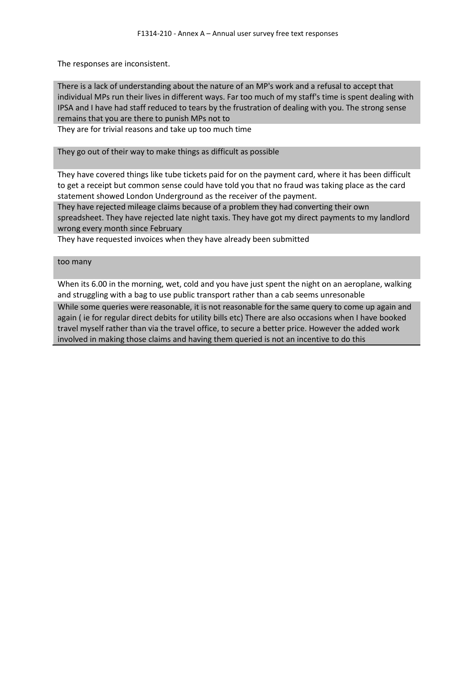The responses are inconsistent.

There is a lack of understanding about the nature of an MP's work and a refusal to accept that individual MPs run their lives in different ways. Far too much of my staff's time is spent dealing with IPSA and I have had staff reduced to tears by the frustration of dealing with you. The strong sense remains that you are there to punish MPs not to

They are for trivial reasons and take up too much time

They go out of their way to make things as difficult as possible

They have covered things like tube tickets paid for on the payment card, where it has been difficult to get a receipt but common sense could have told you that no fraud was taking place as the card statement showed London Underground as the receiver of the payment.

They have rejected mileage claims because of a problem they had converting their own spreadsheet. They have rejected late night taxis. They have got my direct payments to my landlord wrong every month since February

They have requested invoices when they have already been submitted

### too many

When its 6.00 in the morning, wet, cold and you have just spent the night on an aeroplane, walking and struggling with a bag to use public transport rather than a cab seems unresonable

While some queries were reasonable, it is not reasonable for the same query to come up again and again ( ie for regular direct debits for utility bills etc) There are also occasions when I have booked travel myself rather than via the travel office, to secure a better price. However the added work involved in making those claims and having them queried is not an incentive to do this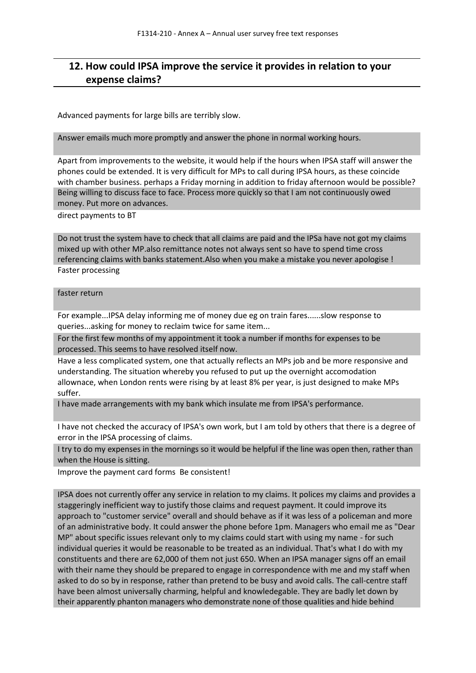## **12. How could IPSA improve the service it provides in relation to your expense claims?**

Advanced payments for large bills are terribly slow.

Answer emails much more promptly and answer the phone in normal working hours.

Apart from improvements to the website, it would help if the hours when IPSA staff will answer the phones could be extended. It is very difficult for MPs to call during IPSA hours, as these coincide with chamber business. perhaps a Friday morning in addition to friday afternoon would be possible? Being willing to discuss face to face. Process more quickly so that I am not continuously owed money. Put more on advances.

direct payments to BT

Do not trust the system have to check that all claims are paid and the IPSa have not got my claims mixed up with other MP.also remittance notes not always sent so have to spend time cross referencing claims with banks statement.Also when you make a mistake you never apologise ! Faster processing

### faster return

For example...IPSA delay informing me of money due eg on train fares......slow response to queries...asking for money to reclaim twice for same item...

For the first few months of my appointment it took a number if months for expenses to be processed. This seems to have resolved itself now.

Have a less complicated system, one that actually reflects an MPs job and be more responsive and understanding. The situation whereby you refused to put up the overnight accomodation allownace, when London rents were rising by at least 8% per year, is just designed to make MPs suffer.

I have made arrangements with my bank which insulate me from IPSA's performance.

I have not checked the accuracy of IPSA's own work, but I am told by others that there is a degree of error in the IPSA processing of claims.

I try to do my expenses in the mornings so it would be helpful if the line was open then, rather than when the House is sitting.

Improve the payment card forms Be consistent!

IPSA does not currently offer any service in relation to my claims. It polices my claims and provides a staggeringly inefficient way to justify those claims and request payment. It could improve its approach to "customer service" overall and should behave as if it was less of a policeman and more of an administrative body. It could answer the phone before 1pm. Managers who email me as "Dear MP" about specific issues relevant only to my claims could start with using my name - for such individual queries it would be reasonable to be treated as an individual. That's what I do with my constituents and there are 62,000 of them not just 650. When an IPSA manager signs off an email with their name they should be prepared to engage in correspondence with me and my staff when asked to do so by in response, rather than pretend to be busy and avoid calls. The call-centre staff have been almost universally charming, helpful and knowledegable. They are badly let down by their apparently phanton managers who demonstrate none of those qualities and hide behind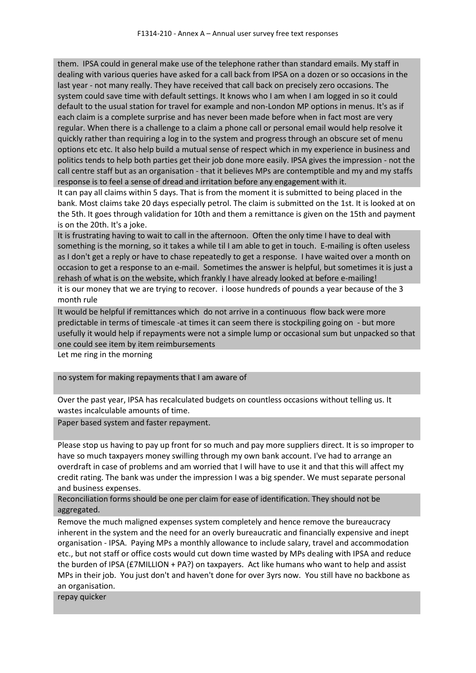them. IPSA could in general make use of the telephone rather than standard emails. My staff in dealing with various queries have asked for a call back from IPSA on a dozen or so occasions in the last year - not many really. They have received that call back on precisely zero occasions. The system could save time with default settings. It knows who I am when I am logged in so it could default to the usual station for travel for example and non-London MP options in menus. It's as if each claim is a complete surprise and has never been made before when in fact most are very regular. When there is a challenge to a claim a phone call or personal email would help resolve it quickly rather than requiring a log in to the system and progress through an obscure set of menu options etc etc. It also help build a mutual sense of respect which in my experience in business and politics tends to help both parties get their job done more easily. IPSA gives the impression - not the call centre staff but as an organisation - that it believes MPs are contemptible and my and my staffs response is to feel a sense of dread and irritation before any engagement with it.

It can pay all claims within 5 days. That is from the moment it is submitted to being placed in the bank. Most claims take 20 days especially petrol. The claim is submitted on the 1st. It is looked at on the 5th. It goes through validation for 10th and them a remittance is given on the 15th and payment is on the 20th. It's a joke.

It is frustrating having to wait to call in the afternoon. Often the only time I have to deal with something is the morning, so it takes a while til I am able to get in touch. E-mailing is often useless as I don't get a reply or have to chase repeatedly to get a response. I have waited over a month on occasion to get a response to an e-mail. Sometimes the answer is helpful, but sometimes it is just a rehash of what is on the website, which frankly I have already looked at before e-mailing! it is our money that we are trying to recover. i loose hundreds of pounds a year because of the 3 month rule

It would be helpful if remittances which do not arrive in a continuous flow back were more predictable in terms of timescale -at times it can seem there is stockpiling going on - but more usefully it would help if repayments were not a simple lump or occasional sum but unpacked so that one could see item by item reimbursements

Let me ring in the morning

no system for making repayments that I am aware of

Over the past year, IPSA has recalculated budgets on countless occasions without telling us. It wastes incalculable amounts of time.

Paper based system and faster repayment.

Please stop us having to pay up front for so much and pay more suppliers direct. It is so improper to have so much taxpayers money swilling through my own bank account. I've had to arrange an overdraft in case of problems and am worried that I will have to use it and that this will affect my credit rating. The bank was under the impression I was a big spender. We must separate personal and business expenses.

Reconciliation forms should be one per claim for ease of identification. They should not be aggregated.

Remove the much maligned expenses system completely and hence remove the bureaucracy inherent in the system and the need for an overly bureaucratic and financially expensive and inept organisation - IPSA. Paying MPs a monthly allowance to include salary, travel and accommodation etc., but not staff or office costs would cut down time wasted by MPs dealing with IPSA and reduce the burden of IPSA (£7MILLION + PA?) on taxpayers. Act like humans who want to help and assist MPs in their job. You just don't and haven't done for over 3yrs now. You still have no backbone as an organisation.

repay quicker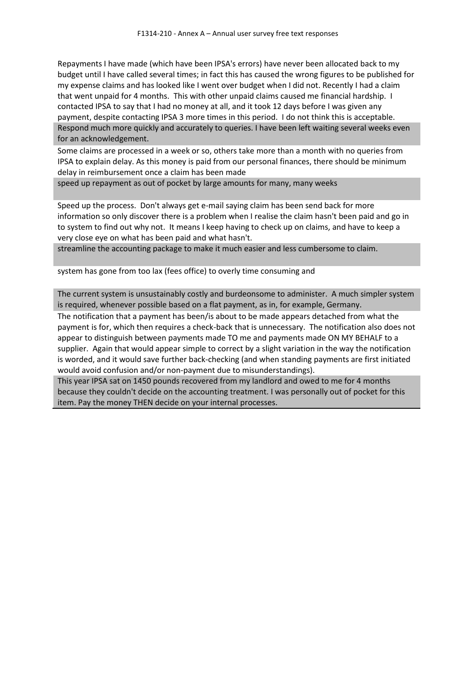Repayments I have made (which have been IPSA's errors) have never been allocated back to my budget until I have called several times; in fact this has caused the wrong figures to be published for my expense claims and has looked like I went over budget when I did not. Recently I had a claim that went unpaid for 4 months. This with other unpaid claims caused me financial hardship. I contacted IPSA to say that I had no money at all, and it took 12 days before I was given any payment, despite contacting IPSA 3 more times in this period. I do not think this is acceptable. Respond much more quickly and accurately to queries. I have been left waiting several weeks even for an acknowledgement.

Some claims are processed in a week or so, others take more than a month with no queries from IPSA to explain delay. As this money is paid from our personal finances, there should be minimum delay in reimbursement once a claim has been made

speed up repayment as out of pocket by large amounts for many, many weeks

Speed up the process. Don't always get e-mail saying claim has been send back for more information so only discover there is a problem when I realise the claim hasn't been paid and go in to system to find out why not. It means I keep having to check up on claims, and have to keep a very close eye on what has been paid and what hasn't.

streamline the accounting package to make it much easier and less cumbersome to claim.

system has gone from too lax (fees office) to overly time consuming and

The current system is unsustainably costly and burdeonsome to administer. A much simpler system is required, whenever possible based on a flat payment, as in, for example, Germany.

The notification that a payment has been/is about to be made appears detached from what the payment is for, which then requires a check-back that is unnecessary. The notification also does not appear to distinguish between payments made TO me and payments made ON MY BEHALF to a supplier. Again that would appear simple to correct by a slight variation in the way the notification is worded, and it would save further back-checking (and when standing payments are first initiated would avoid confusion and/or non-payment due to misunderstandings).

This year IPSA sat on 1450 pounds recovered from my landlord and owed to me for 4 months because they couldn't decide on the accounting treatment. I was personally out of pocket for this item. Pay the money THEN decide on your internal processes.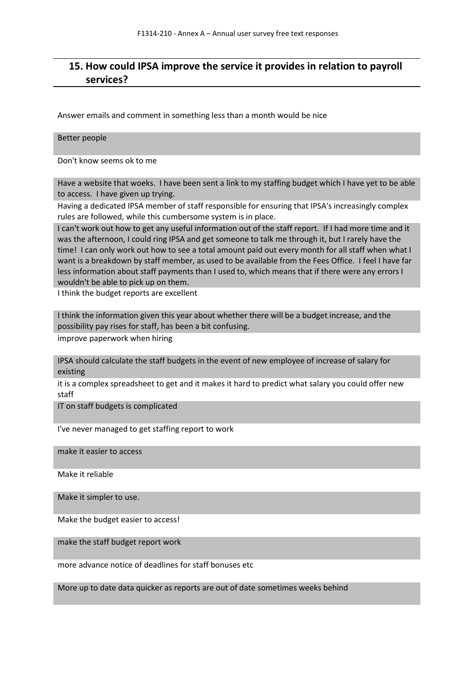## **15. How could IPSA improve the service it provides in relation to payroll services?**

Answer emails and comment in something less than a month would be nice

Better people

Don't know seems ok to me

Have a website that woeks. I have been sent a link to my staffing budget which I have yet to be able to access. I have given up trying.

Having a dedicated IPSA member of staff responsible for ensuring that IPSA's increasingly complex rules are followed, while this cumbersome system is in place.

I can't work out how to get any useful information out of the staff report. If I had more time and it was the afternoon, I could ring IPSA and get someone to talk me through it, but I rarely have the time! I can only work out how to see a total amount paid out every month for all staff when what I want is a breakdown by staff member, as used to be available from the Fees Office. I feel I have far less information about staff payments than I used to, which means that if there were any errors I wouldn't be able to pick up on them.

I think the budget reports are excellent

I think the information given this year about whether there will be a budget increase, and the possibility pay rises for staff, has been a bit confusing.

improve paperwork when hiring

IPSA should calculate the staff budgets in the event of new employee of increase of salary for existing

it is a complex spreadsheet to get and it makes it hard to predict what salary you could offer new staff

IT on staff budgets is complicated

I've never managed to get staffing report to work

make it easier to access

Make it reliable

Make it simpler to use.

Make the budget easier to access!

make the staff budget report work

more advance notice of deadlines for staff bonuses etc

More up to date data quicker as reports are out of date sometimes weeks behind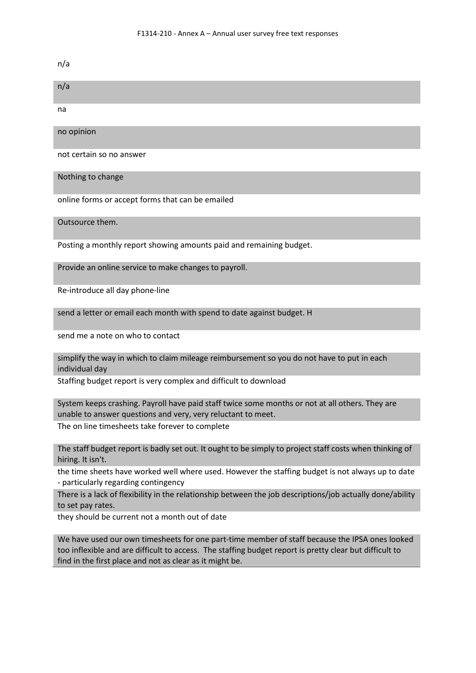n/a

| n/a                      |
|--------------------------|
| na                       |
| no opinion               |
| not certain so no answer |
| Nothing to change        |

online forms or accept forms that can be emailed

Outsource them.

Posting a monthly report showing amounts paid and remaining budget.

Provide an online service to make changes to payroll.

Re-introduce all day phone-line

send a letter or email each month with spend to date against budget. H

send me a note on who to contact

simplify the way in which to claim mileage reimbursement so you do not have to put in each individual day

Staffing budget report is very complex and difficult to download

System keeps crashing. Payroll have paid staff twice some months or not at all others. They are unable to answer questions and very, very reluctant to meet. The on line timesheets take forever to complete

The staff budget report is badly set out. It ought to be simply to project staff costs when thinking of hiring. It isn't.

the time sheets have worked well where used. However the staffing budget is not always up to date - particularly regarding contingency

There is a lack of flexibility in the relationship between the job descriptions/job actually done/ability to set pay rates.

they should be current not a month out of date

We have used our own timesheets for one part-time member of staff because the IPSA ones looked too inflexible and are difficult to access. The staffing budget report is pretty clear but difficult to find in the first place and not as clear as it might be.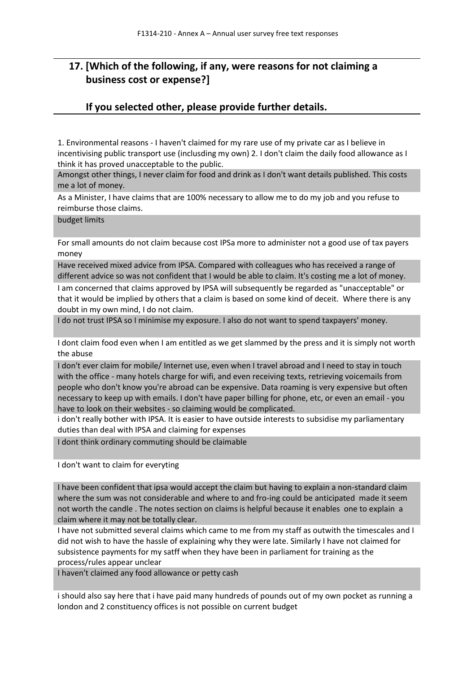# **17. [Which of the following, if any, were reasons for not claiming a business cost or expense?]**

### **If you selected other, please provide further details.**

1. Environmental reasons - I haven't claimed for my rare use of my private car as I believe in incentivising public transport use (inclusding my own) 2. I don't claim the daily food allowance as I think it has proved unacceptable to the public.

Amongst other things, I never claim for food and drink as I don't want details published. This costs me a lot of money.

As a Minister, I have claims that are 100% necessary to allow me to do my job and you refuse to reimburse those claims.

budget limits

For small amounts do not claim because cost IPSa more to administer not a good use of tax payers money

Have received mixed advice from IPSA. Compared with colleagues who has received a range of different advice so was not confident that I would be able to claim. It's costing me a lot of money.

I am concerned that claims approved by IPSA will subsequently be regarded as "unacceptable" or that it would be implied by others that a claim is based on some kind of deceit. Where there is any doubt in my own mind, I do not claim.

I do not trust IPSA so I minimise my exposure. I also do not want to spend taxpayers' money.

I dont claim food even when I am entitled as we get slammed by the press and it is simply not worth the abuse

I don't ever claim for mobile/ Internet use, even when I travel abroad and I need to stay in touch with the office - many hotels charge for wifi, and even receiving texts, retrieving voicemails from people who don't know you're abroad can be expensive. Data roaming is very expensive but often necessary to keep up with emails. I don't have paper billing for phone, etc, or even an email - you have to look on their websites - so claiming would be complicated.

i don't really bother with IPSA. It is easier to have outside interests to subsidise my parliamentary duties than deal with IPSA and claiming for expenses

I dont think ordinary commuting should be claimable

I don't want to claim for everyting

I have been confident that ipsa would accept the claim but having to explain a non-standard claim where the sum was not considerable and where to and fro-ing could be anticipated made it seem not worth the candle . The notes section on claims is helpful because it enables one to explain a claim where it may not be totally clear.

I have not submitted several claims which came to me from my staff as outwith the timescales and I did not wish to have the hassle of explaining why they were late. Similarly I have not claimed for subsistence payments for my satff when they have been in parliament for training as the process/rules appear unclear

I haven't claimed any food allowance or petty cash

i should also say here that i have paid many hundreds of pounds out of my own pocket as running a london and 2 constituency offices is not possible on current budget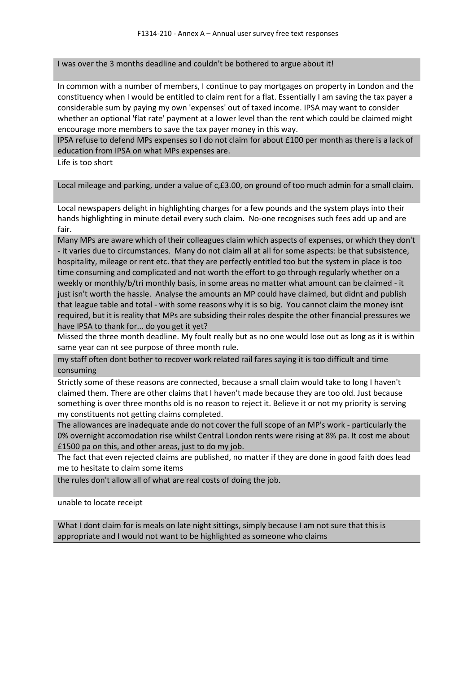I was over the 3 months deadline and couldn't be bothered to argue about it!

In common with a number of members, I continue to pay mortgages on property in London and the constituency when I would be entitled to claim rent for a flat. Essentially I am saving the tax payer a considerable sum by paying my own 'expenses' out of taxed income. IPSA may want to consider whether an optional 'flat rate' payment at a lower level than the rent which could be claimed might encourage more members to save the tax payer money in this way.

IPSA refuse to defend MPs expenses so I do not claim for about £100 per month as there is a lack of education from IPSA on what MPs expenses are.

Life is too short

Local mileage and parking, under a value of c,£3.00, on ground of too much admin for a small claim.

Local newspapers delight in highlighting charges for a few pounds and the system plays into their hands highlighting in minute detail every such claim. No-one recognises such fees add up and are fair.

Many MPs are aware which of their colleagues claim which aspects of expenses, or which they don't - it varies due to circumstances. Many do not claim all at all for some aspects: be that subsistence, hospitality, mileage or rent etc. that they are perfectly entitled too but the system in place is too time consuming and complicated and not worth the effort to go through regularly whether on a weekly or monthly/b/tri monthly basis, in some areas no matter what amount can be claimed - it just isn't worth the hassle. Analyse the amounts an MP could have claimed, but didnt and publish that league table and total - with some reasons why it is so big. You cannot claim the money isnt required, but it is reality that MPs are subsiding their roles despite the other financial pressures we have IPSA to thank for... do you get it yet?

Missed the three month deadline. My foult really but as no one would lose out as long as it is within same year can nt see purpose of three month rule.

my staff often dont bother to recover work related rail fares saying it is too difficult and time consuming

Strictly some of these reasons are connected, because a small claim would take to long I haven't claimed them. There are other claims that I haven't made because they are too old. Just because something is over three months old is no reason to reject it. Believe it or not my priority is serving my constituents not getting claims completed.

The allowances are inadequate ande do not cover the full scope of an MP's work - particularly the 0% overnight accomodation rise whilst Central London rents were rising at 8% pa. It cost me about £1500 pa on this, and other areas, just to do my job.

The fact that even rejected claims are published, no matter if they are done in good faith does lead me to hesitate to claim some items

the rules don't allow all of what are real costs of doing the job.

unable to locate receipt

What I dont claim for is meals on late night sittings, simply because I am not sure that this is appropriate and I would not want to be highlighted as someone who claims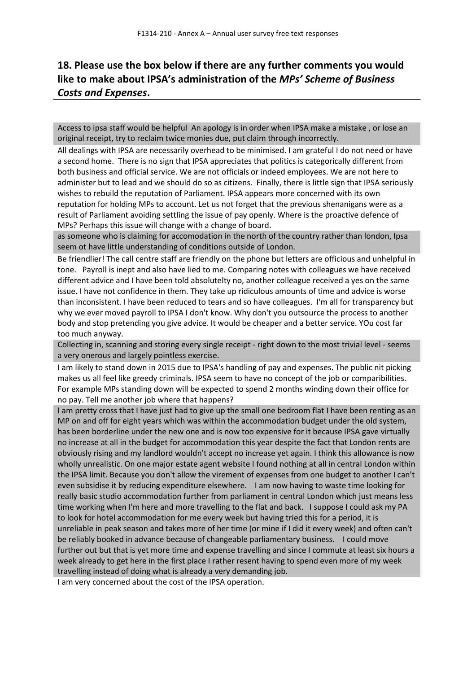# **18. Please use the box below if there are any further comments you would like to make about IPSA's administration of the** *MPs' Scheme of Business Costs and Expenses***.**

Access to ipsa staff would be helpful An apology is in order when IPSA make a mistake , or lose an original receipt, try to reclaim twice monies due, put claim through incorrectly.

All dealings with IPSA are necessarily overhead to be minimised. I am grateful I do not need or have a second home. There is no sign that IPSA appreciates that politics is categorically different from both business and official service. We are not officials or indeed employees. We are not here to administer but to lead and we should do so as citizens. Finally, there is little sign that IPSA seriously wishes to rebuild the reputation of Parliament. IPSA appears more concerned with its own reputation for holding MPs to account. Let us not forget that the previous shenanigans were as a result of Parliament avoiding settling the issue of pay openly. Where is the proactive defence of MPs? Perhaps this issue will change with a change of board.

as someone who is claiming for accomodation in the north of the country rather than london, Ipsa seem ot have little understanding of conditions outside of London.

Be friendlier! The call centre staff are friendly on the phone but letters are officious and unhelpful in tone. Payroll is inept and also have lied to me. Comparing notes with colleagues we have received different advice and I have been told absolutelty no, another colleague received a yes on the same issue. I have not confidence in them. They take up ridiculous amounts of time and advice is worse than inconsistent. I have been reduced to tears and so have colleagues. I'm all for transparency but why we ever moved payroll to IPSA I don't know. Why don't you outsource the process to another body and stop pretending you give advice. It would be cheaper and a better service. YOu cost far too much anyway.

Collecting in, scanning and storing every single receipt - right down to the most trivial level - seems a very onerous and largely pointless exercise.

I am likely to stand down in 2015 due to IPSA's handling of pay and expenses. The public nit picking makes us all feel like greedy criminals. IPSA seem to have no concept of the job or comparibilities. For example MPs standing down will be expected to spend 2 months winding down their office for no pay. Tell me another job where that happens?

I am pretty cross that I have just had to give up the small one bedroom flat I have been renting as an MP on and off for eight years which was within the accommodation budget under the old system, has been borderline under the new one and is now too expensive for it because IPSA gave virtually no increase at all in the budget for accommodation this year despite the fact that London rents are obviously rising and my landlord wouldn't accept no increase yet again. I think this allowance is now wholly unrealistic. On one major estate agent website I found nothing at all in central London within the IPSA limit. Because you don't allow the virement of expenses from one budget to another I can't even subsidise it by reducing expenditure elsewhere. I am now having to waste time looking for really basic studio accommodation further from parliament in central London which just means less time working when I'm here and more travelling to the flat and back. I suppose I could ask my PA to look for hotel accommodation for me every week but having tried this for a period, it is unreliable in peak season and takes more of her time (or mine if I did it every week) and often can't be reliably booked in advance because of changeable parliamentary business. I could move further out but that is yet more time and expense travelling and since I commute at least six hours a week already to get here in the first place I rather resent having to spend even more of my week travelling instead of doing what is already a very demanding job.

I am very concerned about the cost of the IPSA operation.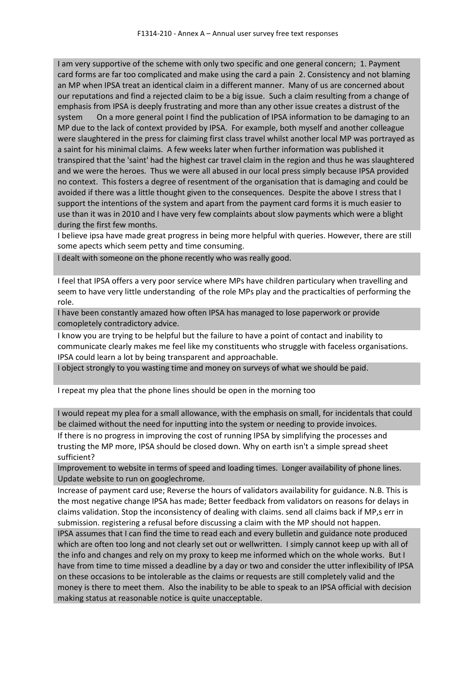I am very supportive of the scheme with only two specific and one general concern; 1. Payment card forms are far too complicated and make using the card a pain 2. Consistency and not blaming an MP when IPSA treat an identical claim in a different manner. Many of us are concerned about our reputations and find a rejected claim to be a big issue. Such a claim resulting from a change of emphasis from IPSA is deeply frustrating and more than any other issue creates a distrust of the system On a more general point I find the publication of IPSA information to be damaging to an MP due to the lack of context provided by IPSA. For example, both myself and another colleague were slaughtered in the press for claiming first class travel whilst another local MP was portrayed as a saint for his minimal claims. A few weeks later when further information was published it transpired that the 'saint' had the highest car travel claim in the region and thus he was slaughtered and we were the heroes. Thus we were all abused in our local press simply because IPSA provided no context. This fosters a degree of resentment of the organisation that is damaging and could be avoided if there was a little thought given to the consequences. Despite the above I stress that I support the intentions of the system and apart from the payment card forms it is much easier to use than it was in 2010 and I have very few complaints about slow payments which were a blight during the first few months.

I believe ipsa have made great progress in being more helpful with queries. However, there are still some apects which seem petty and time consuming.

I dealt with someone on the phone recently who was really good.

I feel that IPSA offers a very poor service where MPs have children particulary when travelling and seem to have very little understanding of the role MPs play and the practicalties of performing the role.

I have been constantly amazed how often IPSA has managed to lose paperwork or provide comopletely contradictory advice.

I know you are trying to be helpful but the failure to have a point of contact and inability to communicate clearly makes me feel like my constituents who struggle with faceless organisations. IPSA could learn a lot by being transparent and approachable.

I object strongly to you wasting time and money on surveys of what we should be paid.

I repeat my plea that the phone lines should be open in the morning too

I would repeat my plea for a small allowance, with the emphasis on small, for incidentals that could be claimed without the need for inputting into the system or needing to provide invoices.

If there is no progress in improving the cost of running IPSA by simplifying the processes and trusting the MP more, IPSA should be closed down. Why on earth isn't a simple spread sheet sufficient?

Improvement to website in terms of speed and loading times. Longer availability of phone lines. Update website to run on googlechrome.

Increase of payment card use; Reverse the hours of validators availability for guidance. N.B. This is the most negative change IPSA has made; Better feedback from validators on reasons for delays in claims validation. Stop the inconsistency of dealing with claims. send all claims back if MP,s err in submission. registering a refusal before discussing a claim with the MP should not happen.

IPSA assumes that I can find the time to read each and every bulletin and guidance note produced which are often too long and not clearly set out or wellwritten. I simply cannot keep up with all of the info and changes and rely on my proxy to keep me informed which on the whole works. But I have from time to time missed a deadline by a day or two and consider the utter inflexibility of IPSA on these occasions to be intolerable as the claims or requests are still completely valid and the money is there to meet them. Also the inability to be able to speak to an IPSA official with decision making status at reasonable notice is quite unacceptable.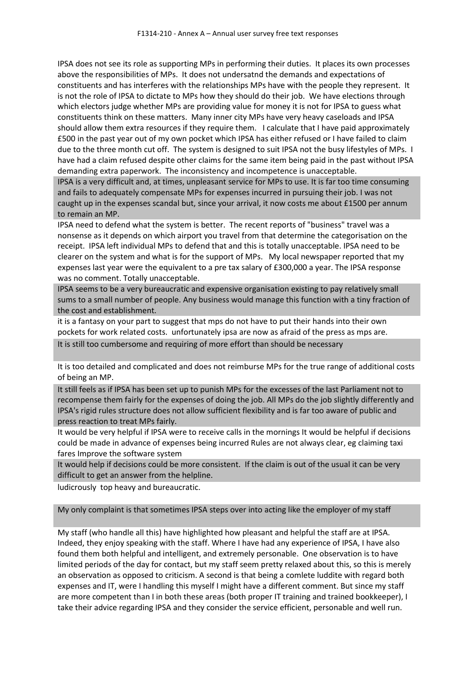IPSA does not see its role as supporting MPs in performing their duties. It places its own processes above the responsibilities of MPs. It does not undersatnd the demands and expectations of constituents and has interferes with the relationships MPs have with the people they represent. It is not the role of IPSA to dictate to MPs how they should do their job. We have elections through which electors judge whether MPs are providing value for money it is not for IPSA to guess what constituents think on these matters. Many inner city MPs have very heavy caseloads and IPSA should allow them extra resources if they require them. I calculate that I have paid approximately £500 in the past year out of my own pocket which IPSA has either refused or I have failed to claim due to the three month cut off. The system is designed to suit IPSA not the busy lifestyles of MPs. I have had a claim refused despite other claims for the same item being paid in the past without IPSA demanding extra paperwork. The inconsistency and incompetence is unacceptable.

IPSA is a very difficult and, at times, unpleasant service for MPs to use. It is far too time consuming and fails to adequately compensate MPs for expenses incurred in pursuing their job. I was not caught up in the expenses scandal but, since your arrival, it now costs me about £1500 per annum to remain an MP.

IPSA need to defend what the system is better. The recent reports of "business" travel was a nonsense as it depends on which airport you travel from that determine the categorisation on the receipt. IPSA left individual MPs to defend that and this is totally unacceptable. IPSA need to be clearer on the system and what is for the support of MPs. My local newspaper reported that my expenses last year were the equivalent to a pre tax salary of £300,000 a year. The IPSA response was no comment. Totally unacceptable.

IPSA seems to be a very bureaucratic and expensive organisation existing to pay relatively small sums to a small number of people. Any business would manage this function with a tiny fraction of the cost and establishment.

it is a fantasy on your part to suggest that mps do not have to put their hands into their own pockets for work related costs. unfortunately ipsa are now as afraid of the press as mps are.

It is still too cumbersome and requiring of more effort than should be necessary

It is too detailed and complicated and does not reimburse MPs for the true range of additional costs of being an MP.

It still feels as if IPSA has been set up to punish MPs for the excesses of the last Parliament not to recompense them fairly for the expenses of doing the job. All MPs do the job slightly differently and IPSA's rigid rules structure does not allow sufficient flexibility and is far too aware of public and press reaction to treat MPs fairly.

It would be very helpful if IPSA were to receive calls in the mornings It would be helpful if decisions could be made in advance of expenses being incurred Rules are not always clear, eg claiming taxi fares Improve the software system

It would help if decisions could be more consistent. If the claim is out of the usual it can be very difficult to get an answer from the helpline.

ludicrously top heavy and bureaucratic.

My only complaint is that sometimes IPSA steps over into acting like the employer of my staff

My staff (who handle all this) have highlighted how pleasant and helpful the staff are at IPSA. Indeed, they enjoy speaking with the staff. Where I have had any experience of IPSA, I have also found them both helpful and intelligent, and extremely personable. One observation is to have limited periods of the day for contact, but my staff seem pretty relaxed about this, so this is merely an observation as opposed to criticism. A second is that being a comlete luddite with regard both expenses and IT, were I handling this myself I might have a different comment. But since my staff are more competent than I in both these areas (both proper IT training and trained bookkeeper), I take their advice regarding IPSA and they consider the service efficient, personable and well run.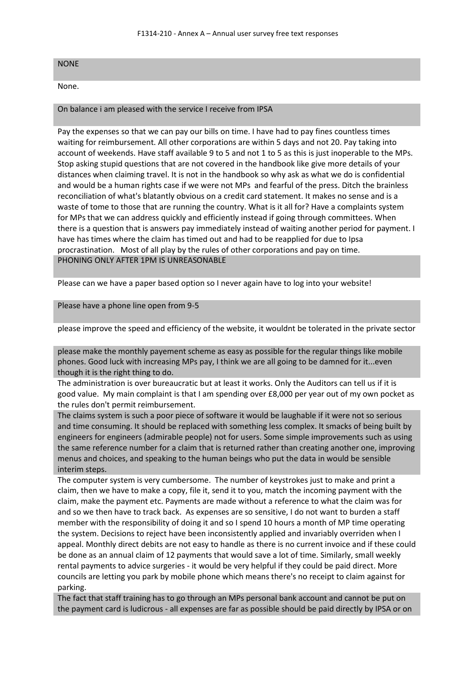#### NONE

None.

#### On balance i am pleased with the service I receive from IPSA

Pay the expenses so that we can pay our bills on time. I have had to pay fines countless times waiting for reimbursement. All other corporations are within 5 days and not 20. Pay taking into account of weekends. Have staff available 9 to 5 and not 1 to 5 as this is just inoperable to the MPs. Stop asking stupid questions that are not covered in the handbook like give more details of your distances when claiming travel. It is not in the handbook so why ask as what we do is confidential and would be a human rights case if we were not MPs and fearful of the press. Ditch the brainless reconciliation of what's blatantly obvious on a credit card statement. It makes no sense and is a waste of tome to those that are running the country. What is it all for? Have a complaints system for MPs that we can address quickly and efficiently instead if going through committees. When there is a question that is answers pay immediately instead of waiting another period for payment. I have has times where the claim has timed out and had to be reapplied for due to Ipsa procrastination. Most of all play by the rules of other corporations and pay on time. PHONING ONLY AFTER 1PM IS UNREASONABLE

Please can we have a paper based option so I never again have to log into your website!

Please have a phone line open from 9-5

please improve the speed and efficiency of the website, it wouldnt be tolerated in the private sector

please make the monthly payement scheme as easy as possible for the regular things like mobile phones. Good luck with increasing MPs pay, I think we are all going to be damned for it...even though it is the right thing to do.

The administration is over bureaucratic but at least it works. Only the Auditors can tell us if it is good value. My main complaint is that I am spending over £8,000 per year out of my own pocket as the rules don't permit reimbursement.

The claims system is such a poor piece of software it would be laughable if it were not so serious and time consuming. It should be replaced with something less complex. It smacks of being built by engineers for engineers (admirable people) not for users. Some simple improvements such as using the same reference number for a claim that is returned rather than creating another one, improving menus and choices, and speaking to the human beings who put the data in would be sensible interim steps.

The computer system is very cumbersome. The number of keystrokes just to make and print a claim, then we have to make a copy, file it, send it to you, match the incoming payment with the claim, make the payment etc. Payments are made without a reference to what the claim was for and so we then have to track back. As expenses are so sensitive, I do not want to burden a staff member with the responsibility of doing it and so I spend 10 hours a month of MP time operating the system. Decisions to reject have been inconsistently applied and invariably overriden when I appeal. Monthly direct debits are not easy to handle as there is no current invoice and if these could be done as an annual claim of 12 payments that would save a lot of time. Similarly, small weekly rental payments to advice surgeries - it would be very helpful if they could be paid direct. More councils are letting you park by mobile phone which means there's no receipt to claim against for parking.

The fact that staff training has to go through an MPs personal bank account and cannot be put on the payment card is ludicrous - all expenses are far as possible should be paid directly by IPSA or on